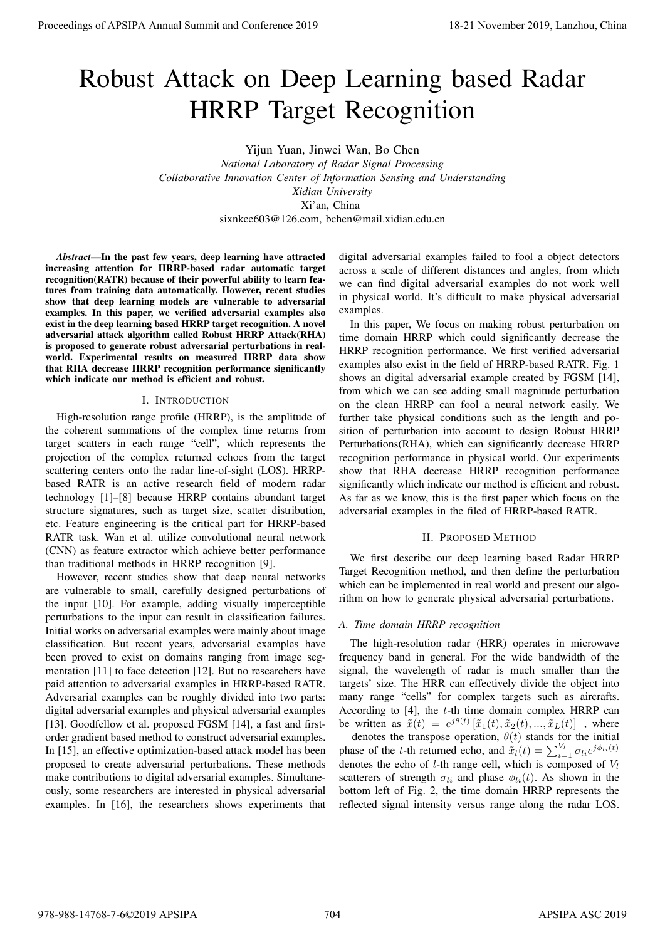# Robust Attack on Deep Learning based Radar HRRP Target Recognition

Yijun Yuan, Jinwei Wan, Bo Chen *National Laboratory of Radar Signal Processing Collaborative Innovation Center of Information Sensing and Understanding Xidian University* Xi'an, China sixnkee603@126.com, bchen@mail.xidian.edu.cn

*Abstract*—In the past few years, deep learning have attracted increasing attention for HRRP-based radar automatic target recognition(RATR) because of their powerful ability to learn features from training data automatically. However, recent studies show that deep learning models are vulnerable to adversarial examples. In this paper, we verified adversarial examples also exist in the deep learning based HRRP target recognition. A novel adversarial attack algorithm called Robust HRRP Attack(RHA) is proposed to generate robust adversarial perturbations in realworld. Experimental results on measured HRRP data show that RHA decrease HRRP recognition performance significantly which indicate our method is efficient and robust.

## I. INTRODUCTION

High-resolution range profile (HRRP), is the amplitude of the coherent summations of the complex time returns from target scatters in each range "cell", which represents the projection of the complex returned echoes from the target scattering centers onto the radar line-of-sight (LOS). HRRPbased RATR is an active research field of modern radar technology [1]–[8] because HRRP contains abundant target structure signatures, such as target size, scatter distribution, etc. Feature engineering is the critical part for HRRP-based RATR task. Wan et al. utilize convolutional neural network (CNN) as feature extractor which achieve better performance than traditional methods in HRRP recognition [9].

However, recent studies show that deep neural networks are vulnerable to small, carefully designed perturbations of the input [10]. For example, adding visually imperceptible perturbations to the input can result in classification failures. Initial works on adversarial examples were mainly about image classification. But recent years, adversarial examples have been proved to exist on domains ranging from image segmentation [11] to face detection [12]. But no researchers have paid attention to adversarial examples in HRRP-based RATR. Adversarial examples can be roughly divided into two parts: digital adversarial examples and physical adversarial examples [13]. Goodfellow et al. proposed FGSM [14], a fast and firstorder gradient based method to construct adversarial examples. In [15], an effective optimization-based attack model has been proposed to create adversarial perturbations. These methods make contributions to digital adversarial examples. Simultaneously, some researchers are interested in physical adversarial examples. In [16], the researchers shows experiments that **Procedure of APSIPA Annual Summit and Conference 2019**<br> **Process of APSIPA Annual Summit and Conference 2019**<br> **Process of APSIPA Annual Summit and Conference 2019**<br> **PROPERTIES SUMMING AND TRIPS AND ANNUAL SUMMING AND C** 

digital adversarial examples failed to fool a object detectors across a scale of different distances and angles, from which we can find digital adversarial examples do not work well in physical world. It's difficult to make physical adversarial examples.

In this paper, We focus on making robust perturbation on time domain HRRP which could significantly decrease the HRRP recognition performance. We first verified adversarial examples also exist in the field of HRRP-based RATR. Fig. 1 shows an digital adversarial example created by FGSM [14], from which we can see adding small magnitude perturbation on the clean HRRP can fool a neural network easily. We further take physical conditions such as the length and position of perturbation into account to design Robust HRRP Perturbations(RHA), which can significantly decrease HRRP recognition performance in physical world. Our experiments show that RHA decrease HRRP recognition performance significantly which indicate our method is efficient and robust. As far as we know, this is the first paper which focus on the adversarial examples in the filed of HRRP-based RATR.

## II. PROPOSED METHOD

We first describe our deep learning based Radar HRRP Target Recognition method, and then define the perturbation which can be implemented in real world and present our algorithm on how to generate physical adversarial perturbations.

## *A. Time domain HRRP recognition*

The high-resolution radar (HRR) operates in microwave frequency band in general. For the wide bandwidth of the signal, the wavelength of radar is much smaller than the targets' size. The HRR can effectively divide the object into many range "cells" for complex targets such as aircrafts. According to [4], the *t*-th time domain complex HRRP can be written as  $\tilde{x}(t) = e^{j\theta(t)} [\tilde{x}_1(t), \tilde{x}_2(t), ..., \tilde{x}_L(t)]^\top$ , where *⊤* denotes the transpose operation, *θ*(*t*) stands for the initial phase of the *t*-th returned echo, and  $\tilde{x}_l(t) = \sum_{i=1}^{V_l} \sigma_{li} e^{j\phi_{li}(t)}$ denotes the echo of *l*-th range cell, which is composed of *V<sup>l</sup>* scatterers of strength  $\sigma_{li}$  and phase  $\phi_{li}(t)$ . As shown in the bottom left of Fig. 2, the time domain HRRP represents the reflected signal intensity versus range along the radar LOS.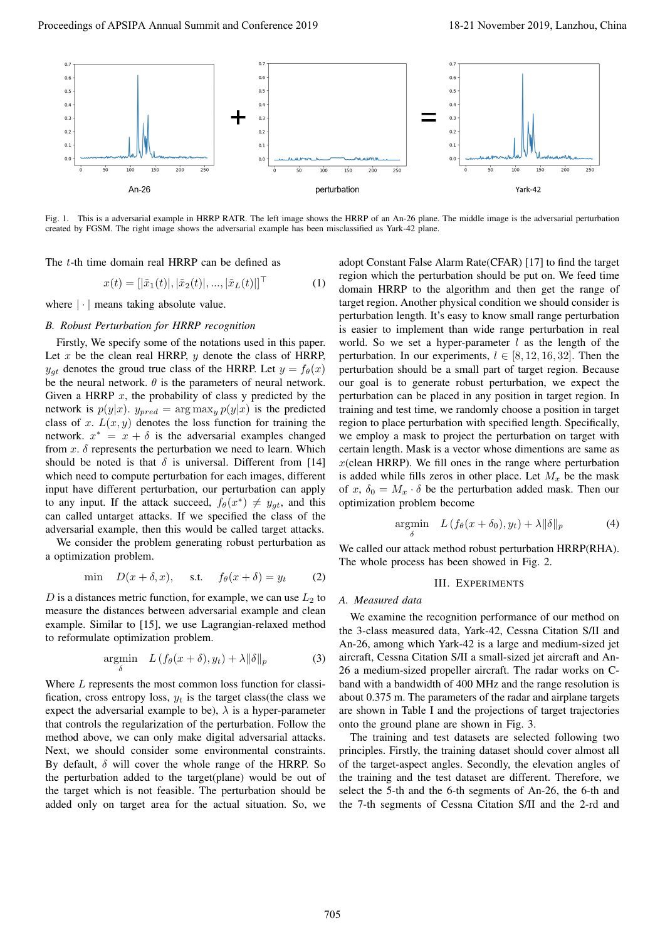

Fig. 1. This is a adversarial example in HRRP RATR. The left image shows the HRRP of an An-26 plane. The middle image is the adversarial perturbation created by FGSM. The right image shows the adversarial example has been misclassified as Yark-42 plane.

The *t*-th time domain real HRRP can be defined as

$$
x(t) = [|\tilde{x}_1(t)|, |\tilde{x}_2(t)|, ..., |\tilde{x}_L(t)|]^\top
$$
 (1)

where  $|\cdot|$  means taking absolute value.

## *B. Robust Perturbation for HRRP recognition*

Firstly, We specify some of the notations used in this paper. Let *x* be the clean real HRRP, *y* denote the class of HRRP, *y<sub><i>gt*</sub> denotes the groud true class of the HRRP. Let  $y = f_{\theta}(x)$ be the neural network.  $\theta$  is the parameters of neural network. Given a HRRP *x*, the probability of class y predicted by the network is  $p(y|x)$ .  $y_{pred} = \arg \max_{y} p(y|x)$  is the predicted class of *x*.  $L(x, y)$  denotes the loss function for training the network.  $x^* = x + \delta$  is the adversarial examples changed from  $x$ .  $\delta$  represents the perturbation we need to learn. Which should be noted is that  $\delta$  is universal. Different from [14] which need to compute perturbation for each images, different input have different perturbation, our perturbation can apply to any input. If the attack succeed,  $f_{\theta}(x^*) \neq y_{gt}$ , and this can called untarget attacks. If we specified the class of the adversarial example, then this would be called target attacks.

We consider the problem generating robust perturbation as a optimization problem.

$$
\min \quad D(x+\delta, x), \quad \text{s.t.} \quad f_{\theta}(x+\delta) = y_t \tag{2}
$$

*D* is a distances metric function, for example, we can use  $L_2$  to measure the distances between adversarial example and clean example. Similar to [15], we use Lagrangian-relaxed method to reformulate optimization problem.

$$
\underset{\delta}{\text{argmin}} \quad L\left(f_{\theta}(x+\delta), y_t\right) + \lambda \|\delta\|_p \tag{3}
$$

Where *L* represents the most common loss function for classification, cross entropy loss,  $y_t$  is the target class(the class we expect the adversarial example to be),  $\lambda$  is a hyper-parameter that controls the regularization of the perturbation. Follow the method above, we can only make digital adversarial attacks. Next, we should consider some environmental constraints. By default, *δ* will cover the whole range of the HRRP. So the perturbation added to the target(plane) would be out of the target which is not feasible. The perturbation should be added only on target area for the actual situation. So, we

adopt Constant False Alarm Rate(CFAR) [17] to find the target region which the perturbation should be put on. We feed time domain HRRP to the algorithm and then get the range of target region. Another physical condition we should consider is perturbation length. It's easy to know small range perturbation is easier to implement than wide range perturbation in real world. So we set a hyper-parameter *l* as the length of the perturbation. In our experiments,  $l \in [8, 12, 16, 32]$ . Then the perturbation should be a small part of target region. Because our goal is to generate robust perturbation, we expect the perturbation can be placed in any position in target region. In training and test time, we randomly choose a position in target region to place perturbation with specified length. Specifically, we employ a mask to project the perturbation on target with certain length. Mask is a vector whose dimentions are same as *x*(clean HRRP). We fill ones in the range where perturbation is added while fills zeros in other place. Let  $M_x$  be the mask of *x*,  $\delta_0 = M_x \cdot \delta$  be the perturbation added mask. Then our optimization problem become

$$
\underset{\delta}{\text{argmin}} \quad L\left(f_{\theta}(x+\delta_0), y_t\right) + \lambda \|\delta\|_p \tag{4}
$$

We called our attack method robust perturbation HRRP(RHA). The whole process has been showed in Fig. 2.

### III. EXPERIMENTS

#### *A. Measured data*

We examine the recognition performance of our method on the 3-class measured data, Yark-42, Cessna Citation S/II and An-26, among which Yark-42 is a large and medium-sized jet aircraft, Cessna Citation S/II a small-sized jet aircraft and An-26 a medium-sized propeller aircraft. The radar works on Cband with a bandwidth of 400 MHz and the range resolution is about 0.375 m. The parameters of the radar and airplane targets are shown in Table I and the projections of target trajectories onto the ground plane are shown in Fig. 3.

The training and test datasets are selected following two principles. Firstly, the training dataset should cover almost all of the target-aspect angles. Secondly, the elevation angles of the training and the test dataset are different. Therefore, we select the 5-th and the 6-th segments of An-26, the 6-th and the 7-th segments of Cessna Citation S/II and the 2-rd and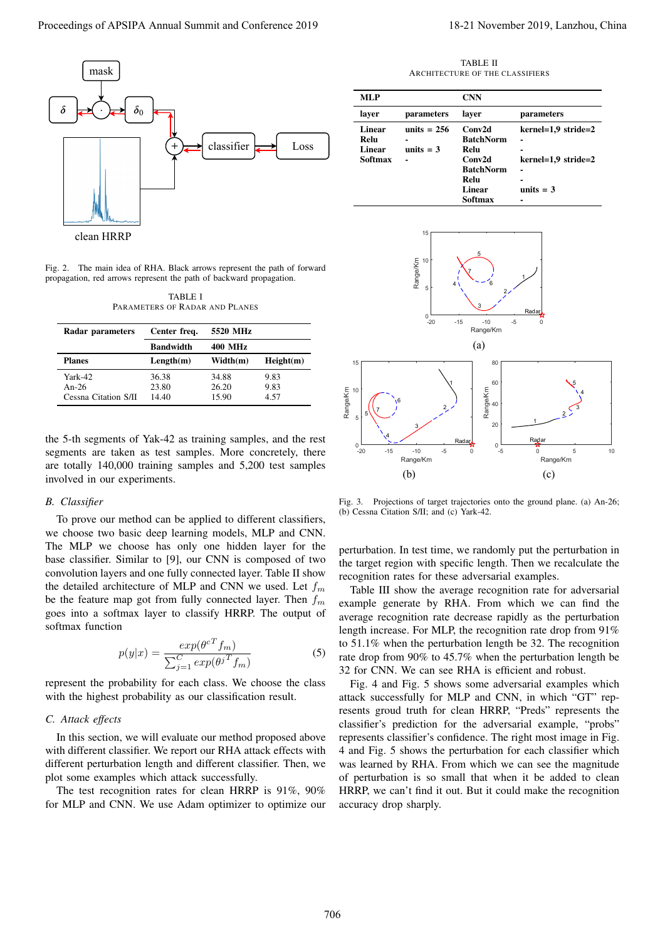

Fig. 2. The main idea of RHA. Black arrows represent the path of forward propagation, red arrows represent the path of backward propagation.

TABLE I PARAMETERS OF RADAR AND PLANES

| Radar parameters     | Center freq.     | 5520 MHz       |           |
|----------------------|------------------|----------------|-----------|
|                      | <b>Bandwidth</b> | <b>400 MHz</b> |           |
| <b>Planes</b>        | Length(m)        | Width(m)       | Height(m) |
| $Yark-42$            | 36.38            | 34.88          | 9.83      |
| An-26                | 23.80            | 26.20          | 9.83      |
| Cessna Citation S/II | 14.40            | 15.90          | 4.57      |

the 5-th segments of Yak-42 as training samples, and the rest segments are taken as test samples. More concretely, there are totally 140,000 training samples and 5,200 test samples involved in our experiments.

#### *B. Classifier*

To prove our method can be applied to different classifiers, we choose two basic deep learning models, MLP and CNN. The MLP we choose has only one hidden layer for the base classifier. Similar to [9], our CNN is composed of two convolution layers and one fully connected layer. Table II show the detailed architecture of MLP and CNN we used. Let *f<sup>m</sup>* be the feature map got from fully connected layer. Then *f<sup>m</sup>* goes into a softmax layer to classify HRRP. The output of softmax function

$$
p(y|x) = \frac{exp(\theta^{cT}f_m)}{\sum_{j=1}^{C} exp(\theta^{jT}f_m)}
$$
(5)

represent the probability for each class. We choose the class with the highest probability as our classification result.

## *C. Attack effects*

In this section, we will evaluate our method proposed above with different classifier. We report our RHA attack effects with different perturbation length and different classifier. Then, we plot some examples which attack successfully.

The test recognition rates for clean HRRP is 91%, 90% for MLP and CNN. We use Adam optimizer to optimize our

TABLE II ARCHITECTURE OF THE CLASSIFIERS

| MLP     |               | <b>CNN</b>       |                       |
|---------|---------------|------------------|-----------------------|
| laver   | parameters    | laver            | parameters            |
| Linear  | units $= 256$ | Conv2d           | $kernel=1.9 stride=2$ |
| Relu    |               | <b>BatchNorm</b> |                       |
| Linear  | units $=$ 3   | Relu             | -                     |
| Softmax |               | Conv2d           | $kernel=1.9 stride=2$ |
|         |               | <b>BatchNorm</b> | -                     |
|         |               | Relu             | -                     |
|         |               | Linear           | units $=$ 3           |
|         |               | Softmax          |                       |



Fig. 3. Projections of target trajectories onto the ground plane. (a) An-26; (b) Cessna Citation S/II; and (c) Yark-42.

perturbation. In test time, we randomly put the perturbation in the target region with specific length. Then we recalculate the recognition rates for these adversarial examples.

Table III show the average recognition rate for adversarial example generate by RHA. From which we can find the average recognition rate decrease rapidly as the perturbation length increase. For MLP, the recognition rate drop from 91% to 51.1% when the perturbation length be 32. The recognition rate drop from 90% to 45.7% when the perturbation length be 32 for CNN. We can see RHA is efficient and robust.

Fig. 4 and Fig. 5 shows some adversarial examples which attack successfully for MLP and CNN, in which "GT" represents groud truth for clean HRRP, "Preds" represents the classifier's prediction for the adversarial example, "probs" represents classifier's confidence. The right most image in Fig. 4 and Fig. 5 shows the perturbation for each classifier which was learned by RHA. From which we can see the magnitude of perturbation is so small that when it be added to clean HRRP, we can't find it out. But it could make the recognition accuracy drop sharply.